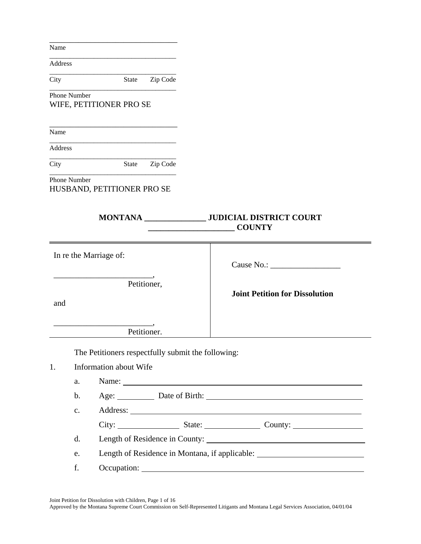Address

\_\_\_\_\_\_\_\_\_\_\_\_\_\_\_\_\_\_\_\_\_\_\_\_\_\_\_\_\_\_\_\_\_\_\_\_\_ City State Zip Code \_\_\_\_\_\_\_\_\_\_\_\_\_\_\_\_\_\_\_\_\_\_\_\_\_\_\_\_\_\_\_\_\_\_\_\_\_

\_\_\_\_\_\_\_\_\_\_\_\_\_\_\_\_\_\_\_\_\_\_\_\_\_\_\_\_\_\_\_

\_\_\_\_\_\_\_\_\_\_\_\_\_\_\_\_\_\_\_\_\_\_\_\_\_\_\_\_\_\_\_\_\_\_\_\_\_

Phone Number WIFE, PETITIONER PRO SE

Name

\_\_\_\_\_\_\_\_\_\_\_\_\_\_\_\_\_\_\_\_\_\_\_\_\_\_\_\_\_\_\_\_\_\_\_\_\_ Address

\_\_\_\_\_\_\_\_\_\_\_\_\_\_\_\_\_\_\_\_\_\_\_\_\_\_\_\_\_\_\_\_\_\_\_\_\_

City State Zip Code \_\_\_\_\_\_\_\_\_\_\_\_\_\_\_\_\_\_\_\_\_\_\_\_\_\_\_\_\_\_\_\_\_\_\_\_\_

\_\_\_\_\_\_\_\_\_\_\_\_\_\_\_\_\_\_\_\_\_\_\_\_\_\_\_\_\_\_\_

Phone Number HUSBAND, PETITIONER PRO SE

| <b>JUDICIAL DISTRICT COURT</b><br><b>MONTANA</b><br><b>COUNTY</b>                  |                                       |  |
|------------------------------------------------------------------------------------|---------------------------------------|--|
| In re the Marriage of:                                                             |                                       |  |
| Petitioner,<br>and                                                                 | <b>Joint Petition for Dissolution</b> |  |
| Petitioner.                                                                        |                                       |  |
| The Petitioners respectfully submit the following:<br>Information about Wife<br>1. |                                       |  |

| a. | Name: $\frac{1}{\sqrt{1-\frac{1}{2}} \cdot \frac{1}{2}}$ |  |
|----|----------------------------------------------------------|--|
| b. | Age: Date of Birth:                                      |  |
| c. |                                                          |  |
|    |                                                          |  |
| d. | Length of Residence in County:                           |  |
| e. | Length of Residence in Montana, if applicable:           |  |
|    | Occupation:                                              |  |
|    |                                                          |  |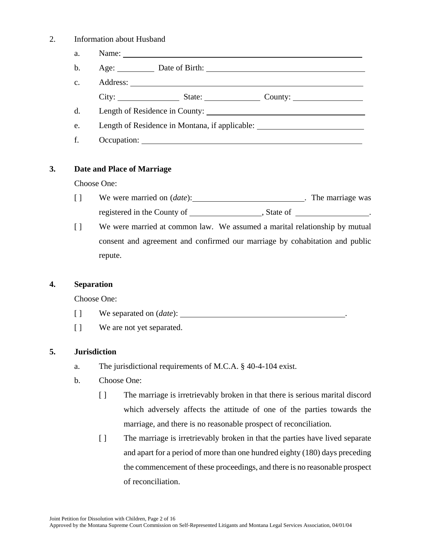#### 2. Information about Husband

| a.             |                     |                                                                                   |
|----------------|---------------------|-----------------------------------------------------------------------------------|
| $\mathbf{b}$ . | Age: Date of Birth: |                                                                                   |
| $C_{\bullet}$  |                     |                                                                                   |
|                |                     | City: State: County:                                                              |
| d.             |                     |                                                                                   |
| e.             |                     | Length of Residence in Montana, if applicable: __________________________________ |
| f.             |                     |                                                                                   |

## **3. Date and Place of Marriage**

Choose One:

- [ ] We were married on (*date*): . The marriage was registered in the County of , State of .
- [ ] We were married at common law. We assumed a marital relationship by mutual consent and agreement and confirmed our marriage by cohabitation and public repute.

#### **4. Separation**

Choose One:

- [ ] We separated on (*date*):
- [ ] We are not yet separated.

## **5. Jurisdiction**

- a. The jurisdictional requirements of M.C.A. § 40-4-104 exist.
- b. Choose One:
	- [ ] The marriage is irretrievably broken in that there is serious marital discord which adversely affects the attitude of one of the parties towards the marriage, and there is no reasonable prospect of reconciliation.
	- [ ] The marriage is irretrievably broken in that the parties have lived separate and apart for a period of more than one hundred eighty (180) days preceding the commencement of these proceedings, and there is no reasonable prospect of reconciliation.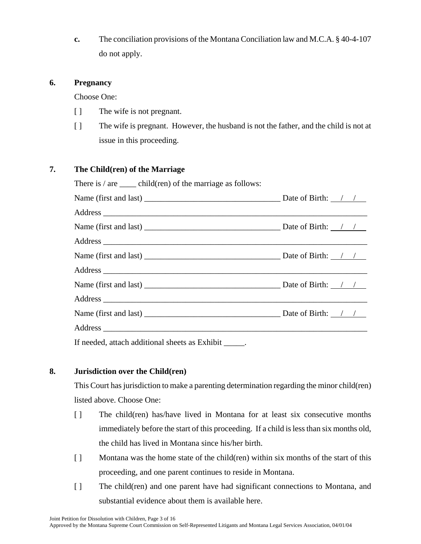**c.** The conciliation provisions of the Montana Conciliation law and M.C.A. § 40-4-107 do not apply.

## **6. Pregnancy**

Choose One:

- [ ] The wife is not pregnant.
- [ ] The wife is pregnant. However, the husband is not the father, and the child is not at issue in this proceeding.

## **7. The Child(ren) of the Marriage**

| There is $/$ are $\_\_$ child(ren) of the marriage as follows: |  |
|----------------------------------------------------------------|--|
|                                                                |  |
|                                                                |  |
|                                                                |  |
|                                                                |  |
|                                                                |  |
|                                                                |  |
|                                                                |  |
|                                                                |  |
|                                                                |  |
|                                                                |  |
| If needed, attach additional sheets as Exhibit _____.          |  |

# **8. Jurisdiction over the Child(ren)**

This Court has jurisdiction to make a parenting determination regarding the minor child(ren) listed above. Choose One:

- [ ] The child(ren) has/have lived in Montana for at least six consecutive months immediately before the start of this proceeding. If a child is less than six months old, the child has lived in Montana since his/her birth.
- [ ] Montana was the home state of the child(ren) within six months of the start of this proceeding, and one parent continues to reside in Montana.
- [ ] The child(ren) and one parent have had significant connections to Montana, and substantial evidence about them is available here.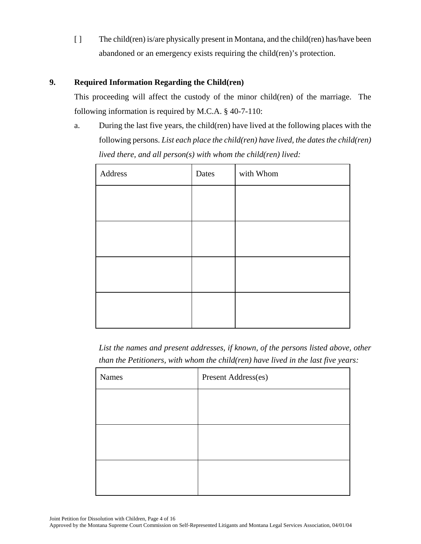[ ] The child(ren) is/are physically present in Montana, and the child(ren) has/have been abandoned or an emergency exists requiring the child(ren)'s protection.

## **9. Required Information Regarding the Child(ren)**

This proceeding will affect the custody of the minor child(ren) of the marriage. The following information is required by M.C.A. § 40-7-110:

a. During the last five years, the child(ren) have lived at the following places with the following persons. *List each place the child(ren) have lived, the dates the child(ren) lived there, and all person(s) with whom the child(ren) lived:*

| Address | Dates | with Whom |
|---------|-------|-----------|
|         |       |           |
|         |       |           |
|         |       |           |
|         |       |           |
|         |       |           |

*List the names and present addresses, if known, of the persons listed above, other than the Petitioners, with whom the child(ren) have lived in the last five years:*

| <b>Names</b> | Present Address(es) |
|--------------|---------------------|
|              |                     |
|              |                     |
|              |                     |
|              |                     |
|              |                     |
|              |                     |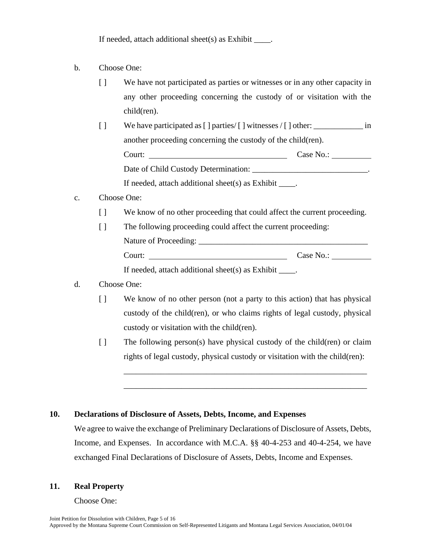If needed, attach additional sheet(s) as Exhibit  $\qquad$ .

- b. Choose One:
	- [ ] We have not participated as parties or witnesses or in any other capacity in any other proceeding concerning the custody of or visitation with the child(ren).
	- [ ] We have participated as [ ] parties/ [ ] witnesses / [ ] other: \_\_\_\_\_\_\_\_\_\_\_\_ in another proceeding concerning the custody of the child(ren). Court: Court: Court: Case No.: Case No.: Case No.: Case No.: Case No.: Case No.: Case No.: Case No.: Case No.: Case No.: Case No.: Case No.: Case No.: Case No.: Case No.: Case No.: Case No.: Case No.: Case No.: Case No.: C Date of Child Custody Determination: \_\_\_\_\_\_\_\_\_\_\_\_\_\_\_\_\_\_\_\_\_\_\_\_\_\_\_\_. If needed, attach additional sheet(s) as Exhibit \_\_\_\_.
- c. Choose One:
	- [ ] We know of no other proceeding that could affect the current proceeding.
	- [ ] The following proceeding could affect the current proceeding: Nature of Proceeding: \_\_\_\_\_\_\_\_\_\_\_\_\_\_\_\_\_\_\_\_\_\_\_\_\_\_\_\_\_\_\_\_\_\_\_\_\_\_\_\_\_ Court: Case No.: If needed, attach additional sheet(s) as Exhibit  $\qquad$ .

## d. Choose One:

- [ ] We know of no other person (not a party to this action) that has physical custody of the child(ren), or who claims rights of legal custody, physical custody or visitation with the child(ren).
- [ ] The following person(s) have physical custody of the child(ren) or claim rights of legal custody, physical custody or visitation with the child(ren):

\_\_\_\_\_\_\_\_\_\_\_\_\_\_\_\_\_\_\_\_\_\_\_\_\_\_\_\_\_\_\_\_\_\_\_\_\_\_\_\_\_\_\_\_\_\_\_\_\_\_\_\_\_\_\_\_\_\_\_

\_\_\_\_\_\_\_\_\_\_\_\_\_\_\_\_\_\_\_\_\_\_\_\_\_\_\_\_\_\_\_\_\_\_\_\_\_\_\_\_\_\_\_\_\_\_\_\_\_\_\_\_\_\_\_\_\_\_\_

## **10. Declarations of Disclosure of Assets, Debts, Income, and Expenses**

We agree to waive the exchange of Preliminary Declarations of Disclosure of Assets, Debts, Income, and Expenses. In accordance with M.C.A. §§ 40-4-253 and 40-4-254, we have exchanged Final Declarations of Disclosure of Assets, Debts, Income and Expenses.

## **11. Real Property**

Choose One: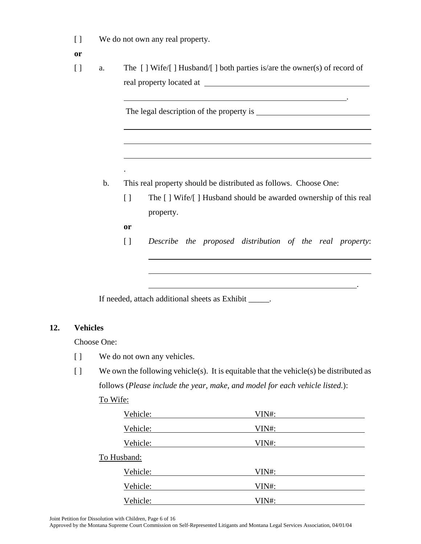- [ ] We do not own any real property.
- **or**
- [ ] a. The [ ] Wife/[ ] Husband/[ ] both parties is/are the owner(s) of record of real property located at

The legal description of the property is  $\overline{\phantom{a}}$ 

- b. This real property should be distributed as follows. Choose One:
	- [ ] The [ ] Wife/[ ] Husband should be awarded ownership of this real property.

.

**or** 

 $\overline{a}$ 

 $\overline{a}$ 

.

[ ] *Describe the proposed distribution of the real property*:

<u>. Andrew Maria Maria Maria Maria Maria Maria Maria Maria Maria Maria Maria Maria Maria Maria Maria Maria Mari</u>

If needed, attach additional sheets as Exhibit \_\_\_\_\_.

## **12. Vehicles**

Choose One:

- [ ] We do not own any vehicles.
- $\lceil \cdot \rceil$  We own the following vehicle(s). It is equitable that the vehicle(s) be distributed as follows (*Please include the year, make, and model for each vehicle listed.*):

| Vehicle:    | VIN#: |  |
|-------------|-------|--|
| Vehicle:    | VIN#: |  |
| Vehicle:    | VIN#: |  |
| To Husband: |       |  |
| Vehicle:    | VIN#: |  |
| Vehicle:    | VIN#: |  |
| Vehicle:    | VIN#: |  |

To Wife:

Joint Petition for Dissolution with Children, Page 6 of 16

Approved by the Montana Supreme Court Commission on Self-Represented Litigants and Montana Legal Services Association, 04/01/04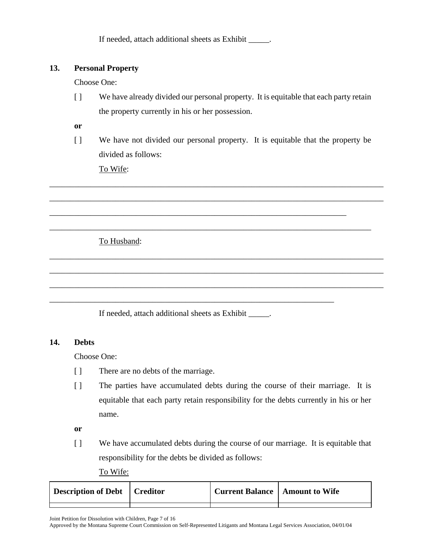If needed, attach additional sheets as Exhibit \_\_\_\_\_.

# **13. Personal Property**

Choose One:

[ ] We have already divided our personal property. It is equitable that each party retain the property currently in his or her possession.

**or**

[ ] We have not divided our personal property. It is equitable that the property be divided as follows:

\_\_\_\_\_\_\_\_\_\_\_\_\_\_\_\_\_\_\_\_\_\_\_\_\_\_\_\_\_\_\_\_\_\_\_\_\_\_\_\_\_\_\_\_\_\_\_\_\_\_\_\_\_\_\_\_\_\_\_\_\_\_\_\_\_\_\_\_\_\_\_\_\_\_\_\_\_\_\_\_\_

\_\_\_\_\_\_\_\_\_\_\_\_\_\_\_\_\_\_\_\_\_\_\_\_\_\_\_\_\_\_\_\_\_\_\_\_\_\_\_\_\_\_\_\_\_\_\_\_\_\_\_\_\_\_\_\_\_\_\_\_\_\_\_\_\_\_\_\_\_\_\_\_\_\_\_\_\_\_\_\_\_

\_\_\_\_\_\_\_\_\_\_\_\_\_\_\_\_\_\_\_\_\_\_\_\_\_\_\_\_\_\_\_\_\_\_\_\_\_\_\_\_\_\_\_\_\_\_\_\_\_\_\_\_\_\_\_\_\_\_\_\_\_\_\_\_\_\_\_\_\_\_\_\_\_\_\_\_\_\_

\_\_\_\_\_\_\_\_\_\_\_\_\_\_\_\_\_\_\_\_\_\_\_\_\_\_\_\_\_\_\_\_\_\_\_\_\_\_\_\_\_\_\_\_\_\_\_\_\_\_\_\_\_\_\_\_\_\_\_\_\_\_\_\_\_\_\_\_\_\_\_\_\_\_\_\_\_\_\_\_\_

\_\_\_\_\_\_\_\_\_\_\_\_\_\_\_\_\_\_\_\_\_\_\_\_\_\_\_\_\_\_\_\_\_\_\_\_\_\_\_\_\_\_\_\_\_\_\_\_\_\_\_\_\_\_\_\_\_\_\_\_\_\_\_\_\_\_\_\_\_\_\_\_\_\_\_\_\_\_\_\_\_

\_\_\_\_\_\_\_\_\_\_\_\_\_\_\_\_\_\_\_\_\_\_\_\_\_\_\_\_\_\_\_\_\_\_\_\_\_\_\_\_\_\_\_\_\_\_\_\_\_\_\_\_\_\_\_\_\_\_\_\_\_\_\_\_\_\_\_\_\_\_\_\_\_\_\_\_\_\_\_\_\_

\_\_\_\_\_\_\_\_\_\_\_\_\_\_\_\_\_\_\_\_\_\_\_\_\_\_\_\_\_\_\_\_\_\_\_\_\_\_\_\_\_\_\_\_\_\_\_\_\_\_\_\_\_\_\_\_\_\_\_\_\_\_\_\_\_\_\_\_\_\_\_\_

To Wife:

To Husband:

If needed, attach additional sheets as Exhibit \_\_\_\_\_.

\_\_\_\_\_\_\_\_\_\_\_\_\_\_\_\_\_\_\_\_\_\_\_\_\_\_\_\_\_\_\_\_\_\_\_\_\_\_\_\_\_\_\_\_\_\_\_\_\_\_\_\_\_\_\_\_\_\_\_\_\_\_\_\_\_\_\_\_\_

# **14. Debts**

Choose One:

- [ ] There are no debts of the marriage.
- [ ] The parties have accumulated debts during the course of their marriage. It is equitable that each party retain responsibility for the debts currently in his or her name.

**or**

- [ ] We have accumulated debts during the course of our marriage. It is equitable that responsibility for the debts be divided as follows:
	- To Wife:

| Description of Debt   Creditor | <b>Current Balance   Amount to Wife</b> |  |
|--------------------------------|-----------------------------------------|--|
|                                |                                         |  |

Joint Petition for Dissolution with Children, Page 7 of 16

Approved by the Montana Supreme Court Commission on Self-Represented Litigants and Montana Legal Services Association, 04/01/04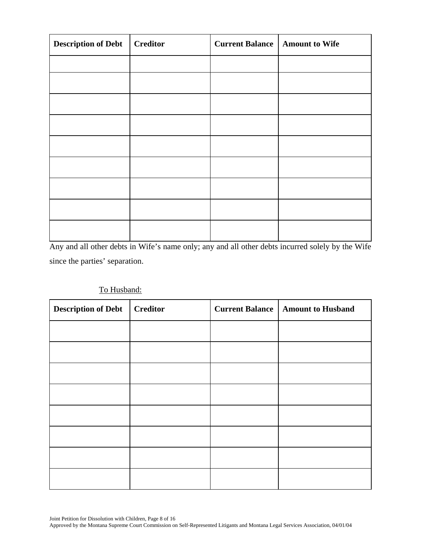| <b>Description of Debt</b> | <b>Creditor</b> | <b>Current Balance</b> | <b>Amount to Wife</b> |
|----------------------------|-----------------|------------------------|-----------------------|
|                            |                 |                        |                       |
|                            |                 |                        |                       |
|                            |                 |                        |                       |
|                            |                 |                        |                       |
|                            |                 |                        |                       |
|                            |                 |                        |                       |
|                            |                 |                        |                       |
|                            |                 |                        |                       |
|                            |                 |                        |                       |

Any and all other debts in Wife's name only; any and all other debts incurred solely by the Wife since the parties' separation.

| <b>Description of Debt</b> | <b>Creditor</b> | <b>Current Balance</b> | <b>Amount to Husband</b> |
|----------------------------|-----------------|------------------------|--------------------------|
|                            |                 |                        |                          |
|                            |                 |                        |                          |
|                            |                 |                        |                          |
|                            |                 |                        |                          |
|                            |                 |                        |                          |
|                            |                 |                        |                          |
|                            |                 |                        |                          |
|                            |                 |                        |                          |

# To Husband: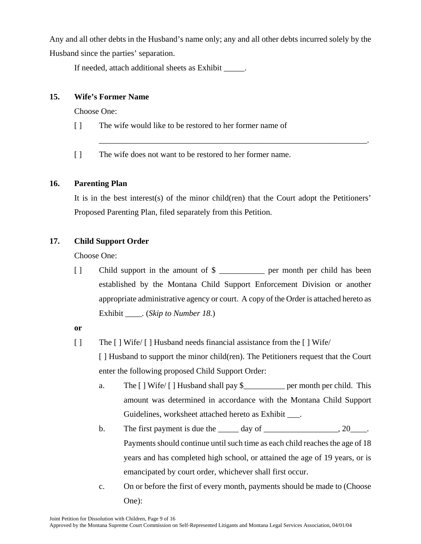Any and all other debts in the Husband's name only; any and all other debts incurred solely by the Husband since the parties' separation.

If needed, attach additional sheets as Exhibit \_\_\_\_\_.

# **15. Wife's Former Name**

Choose One:

- [ ] The wife would like to be restored to her former name of
- [ ] The wife does not want to be restored to her former name.

# **16. Parenting Plan**

It is in the best interest(s) of the minor child(ren) that the Court adopt the Petitioners' Proposed Parenting Plan, filed separately from this Petition.

\_\_\_\_\_\_\_\_\_\_\_\_\_\_\_\_\_\_\_\_\_\_\_\_\_\_\_\_\_\_\_\_\_\_\_\_\_\_\_\_\_\_\_\_\_\_\_\_\_\_\_\_\_\_\_\_\_\_\_\_\_\_\_\_\_.

# **17. Child Support Order**

Choose One:

[ ] Child support in the amount of  $\frac{1}{2}$  [ ] Child has been established by the Montana Child Support Enforcement Division or another appropriate administrative agency or court. A copy of the Order is attached hereto as Exhibit \_\_\_\_. (*Skip to Number 18.*)

**or** 

- [ ] The [ ] Wife/ [ ] Husband needs financial assistance from the [ ] Wife/ [ ] Husband to support the minor child(ren). The Petitioners request that the Court enter the following proposed Child Support Order:
	- a. The [ ] Wife/ [ ] Husband shall pay \$\_\_\_\_\_\_\_\_\_\_ per month per child. This amount was determined in accordance with the Montana Child Support Guidelines, worksheet attached hereto as Exhibit \_\_\_.
	- b. The first payment is due the  $\qquad \qquad$  day of  $\qquad \qquad$ , 20 Payments should continue until such time as each child reaches the age of 18 years and has completed high school, or attained the age of 19 years, or is emancipated by court order, whichever shall first occur.
	- c. On or before the first of every month, payments should be made to (Choose One):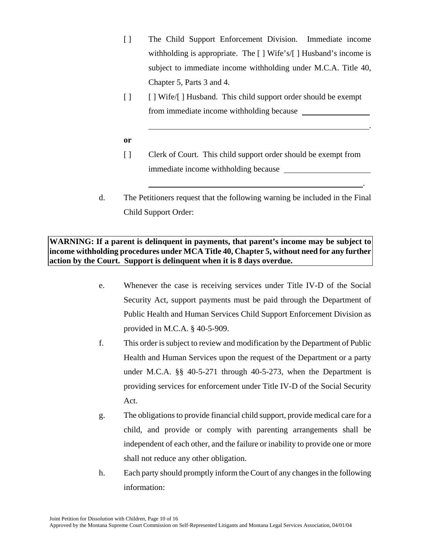- [ ] The Child Support Enforcement Division. Immediate income withholding is appropriate. The [ ] Wife's/[ ] Husband's income is subject to immediate income withholding under M.C.A. Title 40, Chapter 5, Parts 3 and 4.
- [ ] [ ] Wife/[ ] Husband. This child support order should be exempt from immediate income withholding because

.

<u>. Andre Sterne Sterne Sterne Sterne Sterne Sterne Sterne Sterne Sterne Sterne Sterne Sterne Sterne Sterne Ste</u>

- **or**
- [ ] Clerk of Court. This child support order should be exempt from immediate income withholding because
- d. The Petitioners request that the following warning be included in the Final Child Support Order:

# **WARNING: If a parent is delinquent in payments, that parent's income may be subject to income withholding procedures under MCA Title 40, Chapter 5, without need for any further action by the Court. Support is delinquent when it is 8 days overdue.**

- e. Whenever the case is receiving services under Title IV-D of the Social Security Act, support payments must be paid through the Department of Public Health and Human Services Child Support Enforcement Division as provided in M.C.A. § 40-5-909.
- f. This order is subject to review and modification by the Department of Public Health and Human Services upon the request of the Department or a party under M.C.A. §§ 40-5-271 through 40-5-273, when the Department is providing services for enforcement under Title IV-D of the Social Security Act.
- g. The obligations to provide financial child support, provide medical care for a child, and provide or comply with parenting arrangements shall be independent of each other, and the failure or inability to provide one or more shall not reduce any other obligation.
- h. Each party should promptly inform the Court of any changes in the following information: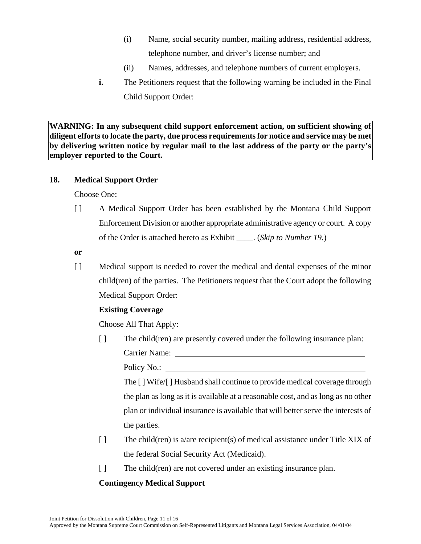- (i) Name, social security number, mailing address, residential address, telephone number, and driver's license number; and
- (ii) Names, addresses, and telephone numbers of current employers.
- **i.** The Petitioners request that the following warning be included in the Final Child Support Order:

**WARNING: In any subsequent child support enforcement action, on sufficient showing of diligent efforts to locate the party, due process requirements for notice and service may be met by delivering written notice by regular mail to the last address of the party or the party's employer reported to the Court.** 

## **18. Medical Support Order**

Choose One:

- [ ] A Medical Support Order has been established by the Montana Child Support Enforcement Division or another appropriate administrative agency or court. A copy of the Order is attached hereto as Exhibit \_\_\_\_. (*Skip to Number 19.*)
- **or**
- [ ] Medical support is needed to cover the medical and dental expenses of the minor child(ren) of the parties. The Petitioners request that the Court adopt the following Medical Support Order:

# **Existing Coverage**

Choose All That Apply:

[ ] The child(ren) are presently covered under the following insurance plan: Carrier Name:

Policy No.:

The [ ] Wife/[ ] Husband shall continue to provide medical coverage through the plan as long as it is available at a reasonable cost, and as long as no other plan or individual insurance is available that will better serve the interests of the parties.

- [ ] The child(ren) is a/are recipient(s) of medical assistance under Title XIX of the federal Social Security Act (Medicaid).
- [ ] The child(ren) are not covered under an existing insurance plan.

# **Contingency Medical Support**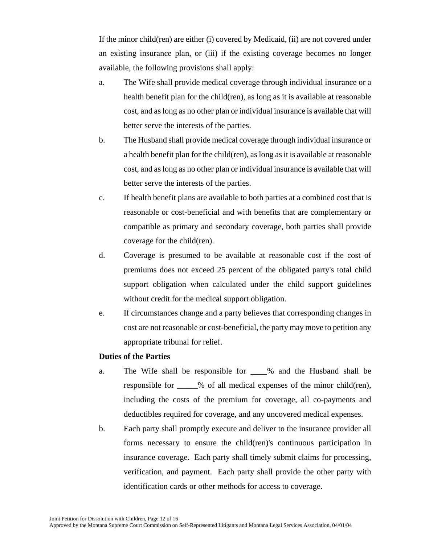If the minor child(ren) are either (i) covered by Medicaid, (ii) are not covered under an existing insurance plan, or (iii) if the existing coverage becomes no longer available, the following provisions shall apply:

- a. The Wife shall provide medical coverage through individual insurance or a health benefit plan for the child(ren), as long as it is available at reasonable cost, and as long as no other plan or individual insurance is available that will better serve the interests of the parties.
- b. The Husband shall provide medical coverage through individual insurance or a health benefit plan for the child(ren), as long as it is available at reasonable cost, and as long as no other plan or individual insurance is available that will better serve the interests of the parties.
- c. If health benefit plans are available to both parties at a combined cost that is reasonable or cost-beneficial and with benefits that are complementary or compatible as primary and secondary coverage, both parties shall provide coverage for the child(ren).
- d. Coverage is presumed to be available at reasonable cost if the cost of premiums does not exceed 25 percent of the obligated party's total child support obligation when calculated under the child support guidelines without credit for the medical support obligation.
- e. If circumstances change and a party believes that corresponding changes in cost are not reasonable or cost-beneficial, the party may move to petition any appropriate tribunal for relief.

## **Duties of the Parties**

- a. The Wife shall be responsible for  $\%$  and the Husband shall be responsible for \_\_\_\_\_% of all medical expenses of the minor child(ren), including the costs of the premium for coverage, all co-payments and deductibles required for coverage, and any uncovered medical expenses.
- b. Each party shall promptly execute and deliver to the insurance provider all forms necessary to ensure the child(ren)'s continuous participation in insurance coverage. Each party shall timely submit claims for processing, verification, and payment. Each party shall provide the other party with identification cards or other methods for access to coverage.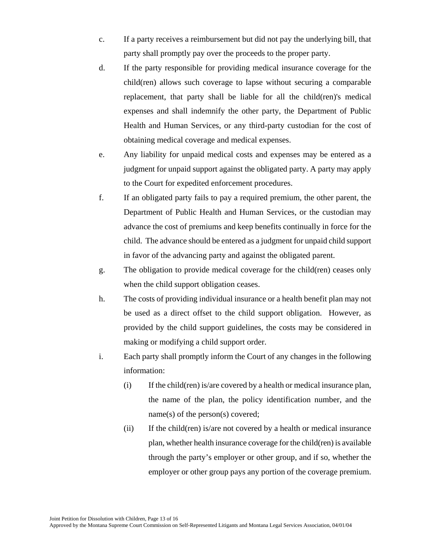- c. If a party receives a reimbursement but did not pay the underlying bill, that party shall promptly pay over the proceeds to the proper party.
- d. If the party responsible for providing medical insurance coverage for the child(ren) allows such coverage to lapse without securing a comparable replacement, that party shall be liable for all the child(ren)'s medical expenses and shall indemnify the other party, the Department of Public Health and Human Services, or any third-party custodian for the cost of obtaining medical coverage and medical expenses.
- e. Any liability for unpaid medical costs and expenses may be entered as a judgment for unpaid support against the obligated party. A party may apply to the Court for expedited enforcement procedures.
- f. If an obligated party fails to pay a required premium, the other parent, the Department of Public Health and Human Services, or the custodian may advance the cost of premiums and keep benefits continually in force for the child. The advance should be entered as a judgment for unpaid child support in favor of the advancing party and against the obligated parent.
- g. The obligation to provide medical coverage for the child(ren) ceases only when the child support obligation ceases.
- h. The costs of providing individual insurance or a health benefit plan may not be used as a direct offset to the child support obligation. However, as provided by the child support guidelines, the costs may be considered in making or modifying a child support order.
- i. Each party shall promptly inform the Court of any changes in the following information:
	- (i) If the child(ren) is/are covered by a health or medical insurance plan, the name of the plan, the policy identification number, and the name(s) of the person(s) covered;
	- (ii) If the child(ren) is/are not covered by a health or medical insurance plan, whether health insurance coverage for the child(ren) is available through the party's employer or other group, and if so, whether the employer or other group pays any portion of the coverage premium.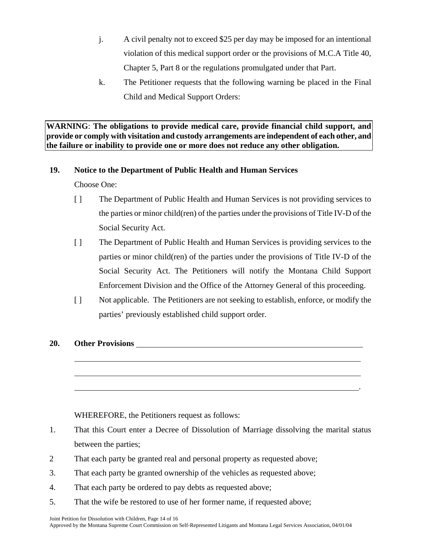- j. A civil penalty not to exceed \$25 per day may be imposed for an intentional violation of this medical support order or the provisions of M.C.A Title 40, Chapter 5, Part 8 or the regulations promulgated under that Part.
- k. The Petitioner requests that the following warning be placed in the Final Child and Medical Support Orders:

**WARNING**: **The obligations to provide medical care, provide financial child support, and provide or comply with visitation and custody arrangements are independent of each other, and the failure or inability to provide one or more does not reduce any other obligation.** 

# **19. Notice to the Department of Public Health and Human Services**

Choose One:

- [ ] The Department of Public Health and Human Services is not providing services to the parties or minor child(ren) of the parties under the provisions of Title IV-D of the Social Security Act.
- [ ] The Department of Public Health and Human Services is providing services to the parties or minor child(ren) of the parties under the provisions of Title IV-D of the Social Security Act. The Petitioners will notify the Montana Child Support Enforcement Division and the Office of the Attorney General of this proceeding.
- [ ] Not applicable. The Petitioners are not seeking to establish, enforce, or modify the parties' previously established child support order.

.

# **20. Other Provisions**

 $\overline{a}$ 

 $\overline{a}$ 

WHEREFORE, the Petitioners request as follows:

- 1. That this Court enter a Decree of Dissolution of Marriage dissolving the marital status between the parties;
- 2 That each party be granted real and personal property as requested above;
- 3. That each party be granted ownership of the vehicles as requested above;
- 4. That each party be ordered to pay debts as requested above;
- 5. That the wife be restored to use of her former name, if requested above;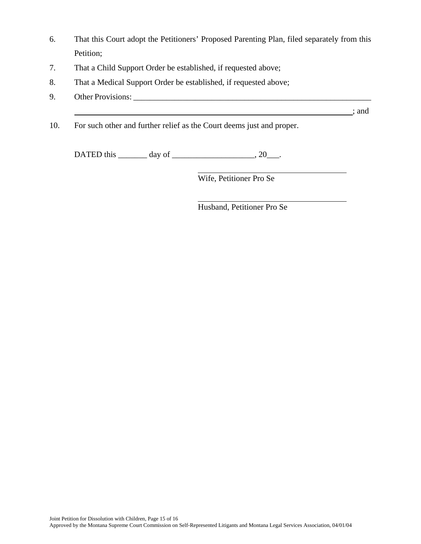- 6. That this Court adopt the Petitioners' Proposed Parenting Plan, filed separately from this Petition;
- 7. That a Child Support Order be established, if requested above;
- 8. That a Medical Support Order be established, if requested above;
- 9. Other Provisions: \_\_\_\_\_\_\_\_\_\_\_\_\_\_\_\_\_\_\_\_\_\_\_\_\_\_\_\_\_\_\_\_\_\_\_\_\_\_\_\_\_\_\_\_\_\_\_\_\_\_\_\_\_\_\_\_\_\_
- 10. For such other and further relief as the Court deems just and proper.

DATED this \_\_\_\_\_\_\_\_ day of \_\_\_\_\_\_\_\_\_\_\_\_\_\_\_\_\_\_\_\_, 20\_\_\_.

 $\overline{a}$ 

 $\overline{a}$ 

Wife, Petitioner Pro Se

; and

Husband, Petitioner Pro Se